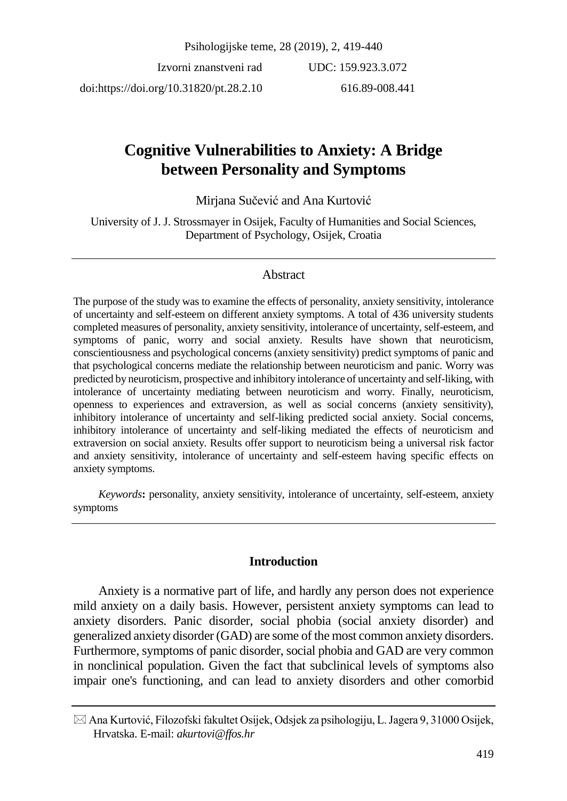Psihologijske teme, 28 (2019), 2, 419-440

Izvorni znanstveni rad doi:https://doi.org/10.31820/pt.28.2.10 UDC: 159.923.3.072 616.89-008.441

# **Cognitive Vulnerabilities to Anxiety: A Bridge between Personality and Symptoms**

Mirjana Sučević and Ana Kurtović

University of J. J. Strossmayer in Osijek, Faculty of Humanities and Social Sciences, Department of Psychology, Osijek, Croatia

## Abstract

The purpose of the study was to examine the effects of personality, anxiety sensitivity, intolerance of uncertainty and self-esteem on different anxiety symptoms. A total of 436 university students completed measures of personality, anxiety sensitivity, intolerance of uncertainty, self-esteem, and symptoms of panic, worry and social anxiety. Results have shown that neuroticism, conscientiousness and psychological concerns (anxiety sensitivity) predict symptoms of panic and that psychological concerns mediate the relationship between neuroticism and panic. Worry was predicted by neuroticism, prospective and inhibitory intolerance of uncertainty and self-liking, with intolerance of uncertainty mediating between neuroticism and worry. Finally, neuroticism, openness to experiences and extraversion, as well as social concerns (anxiety sensitivity), inhibitory intolerance of uncertainty and self-liking predicted social anxiety. Social concerns, inhibitory intolerance of uncertainty and self-liking mediated the effects of neuroticism and extraversion on social anxiety. Results offer support to neuroticism being a universal risk factor and anxiety sensitivity, intolerance of uncertainty and self-esteem having specific effects on anxiety symptoms.

*Keywords***:** personality, anxiety sensitivity, intolerance of uncertainty, self-esteem, anxiety symptoms

## **Introduction**

Anxiety is a normative part of life, and hardly any person does not experience mild anxiety on a daily basis. However, persistent anxiety symptoms can lead to anxiety disorders. Panic disorder, social phobia (social anxiety disorder) and generalized anxiety disorder (GAD) are some of the most common anxiety disorders. Furthermore, symptoms of panic disorder, social phobia and GAD are very common in nonclinical population. Given the fact that subclinical levels of symptoms also impair one's functioning, and can lead to anxiety disorders and other comorbid

 $\boxtimes$  Ana Kurtović, Filozofski fakultet Osijek, Odsjek za psihologiju, L. Jagera 9, 31000 Osijek, Hrvatska. E-mail: *akurtovi@ffos.hr*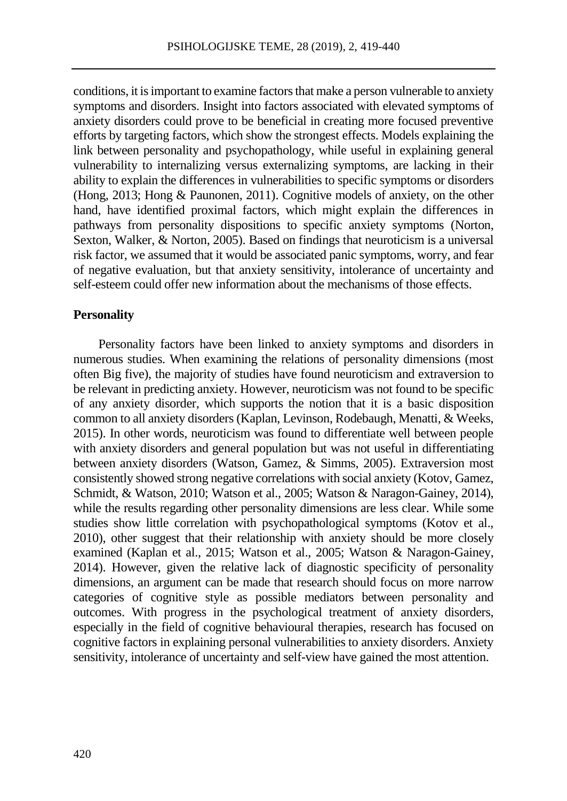conditions, it isimportant to examine factors that make a person vulnerable to anxiety symptoms and disorders. Insight into factors associated with elevated symptoms of anxiety disorders could prove to be beneficial in creating more focused preventive efforts by targeting factors, which show the strongest effects. Models explaining the link between personality and psychopathology, while useful in explaining general vulnerability to internalizing versus externalizing symptoms, are lacking in their ability to explain the differences in vulnerabilities to specific symptoms or disorders (Hong, 2013; Hong & Paunonen, 2011). Cognitive models of anxiety, on the other hand, have identified proximal factors, which might explain the differences in pathways from personality dispositions to specific anxiety symptoms (Norton, Sexton, Walker, & Norton, 2005). Based on findings that neuroticism is a universal risk factor, we assumed that it would be associated panic symptoms, worry, and fear of negative evaluation, but that anxiety sensitivity, intolerance of uncertainty and self-esteem could offer new information about the mechanisms of those effects.

## **Personality**

Personality factors have been linked to anxiety symptoms and disorders in numerous studies. When examining the relations of personality dimensions (most often Big five), the majority of studies have found neuroticism and extraversion to be relevant in predicting anxiety. However, neuroticism was not found to be specific of any anxiety disorder, which supports the notion that it is a basic disposition common to all anxiety disorders (Kaplan, Levinson, Rodebaugh, Menatti, & Weeks, 2015). In other words, neuroticism was found to differentiate well between people with anxiety disorders and general population but was not useful in differentiating between anxiety disorders (Watson, Gamez, & Simms, 2005). Extraversion most consistently showed strong negative correlations with social anxiety (Kotov, Gamez, Schmidt, & Watson, 2010; Watson et al., 2005; Watson & Naragon-Gainey, 2014), while the results regarding other personality dimensions are less clear. While some studies show little correlation with psychopathological symptoms (Kotov et al., 2010), other suggest that their relationship with anxiety should be more closely examined (Kaplan et al., 2015; Watson et al., 2005; Watson & Naragon-Gainey, 2014). However, given the relative lack of diagnostic specificity of personality dimensions, an argument can be made that research should focus on more narrow categories of cognitive style as possible mediators between personality and outcomes. With progress in the psychological treatment of anxiety disorders, especially in the field of cognitive behavioural therapies, research has focused on cognitive factors in explaining personal vulnerabilities to anxiety disorders. Anxiety sensitivity, intolerance of uncertainty and self-view have gained the most attention.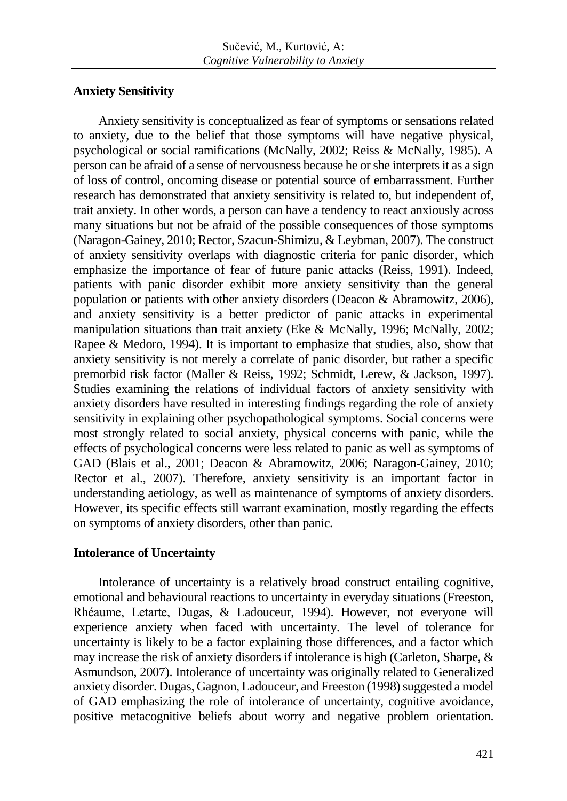# **Anxiety Sensitivity**

Anxiety sensitivity is conceptualized as fear of symptoms or sensations related to anxiety, due to the belief that those symptoms will have negative physical, psychological or social ramifications (McNally, 2002; Reiss & McNally, 1985). A person can be afraid of a sense of nervousness because he or she interprets it as a sign of loss of control, oncoming disease or potential source of embarrassment. Further research has demonstrated that anxiety sensitivity is related to, but independent of, trait anxiety. In other words, a person can have a tendency to react anxiously across many situations but not be afraid of the possible consequences of those symptoms (Naragon-Gainey, 2010; Rector, Szacun-Shimizu, & Leybman, 2007). The construct of anxiety sensitivity overlaps with diagnostic criteria for panic disorder, which emphasize the importance of fear of future panic attacks (Reiss, 1991). Indeed, patients with panic disorder exhibit more anxiety sensitivity than the general population or patients with other anxiety disorders (Deacon & Abramowitz, 2006), and anxiety sensitivity is a better predictor of panic attacks in experimental manipulation situations than trait anxiety (Eke & McNally, 1996; McNally, 2002; Rapee & Medoro, 1994). It is important to emphasize that studies, also, show that anxiety sensitivity is not merely a correlate of panic disorder, but rather a specific premorbid risk factor (Maller & Reiss, 1992; Schmidt, Lerew, & Jackson, 1997). Studies examining the relations of individual factors of anxiety sensitivity with anxiety disorders have resulted in interesting findings regarding the role of anxiety sensitivity in explaining other psychopathological symptoms. Social concerns were most strongly related to social anxiety, physical concerns with panic, while the effects of psychological concerns were less related to panic as well as symptoms of GAD (Blais et al., 2001; Deacon & Abramowitz, 2006; Naragon-Gainey, 2010; Rector et al., 2007). Therefore, anxiety sensitivity is an important factor in understanding aetiology, as well as maintenance of symptoms of anxiety disorders. However, its specific effects still warrant examination, mostly regarding the effects on symptoms of anxiety disorders, other than panic.

# **Intolerance of Uncertainty**

Intolerance of uncertainty is a relatively broad construct entailing cognitive, emotional and behavioural reactions to uncertainty in everyday situations (Freeston, Rhéaume, Letarte, Dugas, & Ladouceur, 1994). However, not everyone will experience anxiety when faced with uncertainty. The level of tolerance for uncertainty is likely to be a factor explaining those differences, and a factor which may increase the risk of anxiety disorders if intolerance is high (Carleton, Sharpe, & Asmundson, 2007). Intolerance of uncertainty was originally related to Generalized anxiety disorder. Dugas, Gagnon, Ladouceur, and Freeston (1998) suggested a model of GAD emphasizing the role of intolerance of uncertainty, cognitive avoidance, positive metacognitive beliefs about worry and negative problem orientation.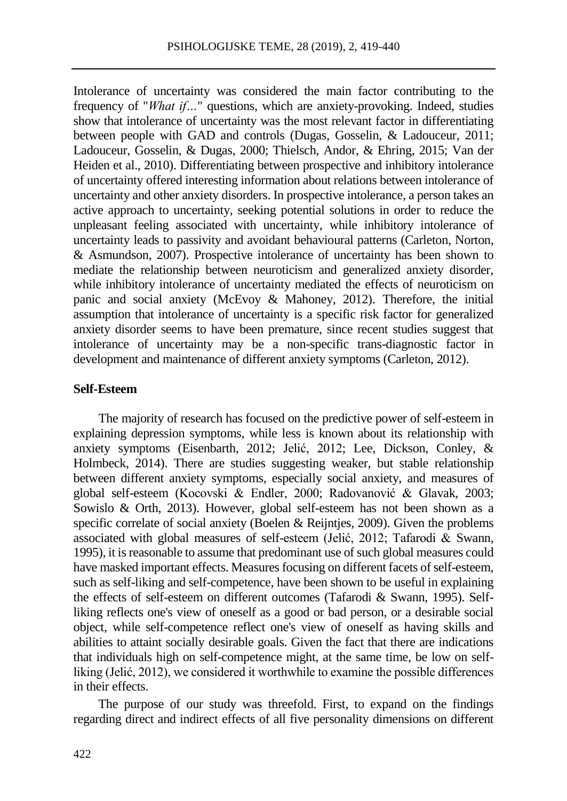Intolerance of uncertainty was considered the main factor contributing to the frequency of "*What if…*" questions, which are anxiety-provoking. Indeed, studies show that intolerance of uncertainty was the most relevant factor in differentiating between people with GAD and controls (Dugas, Gosselin, & Ladouceur, 2011; Ladouceur, Gosselin, & Dugas, 2000; Thielsch, Andor, & Ehring, 2015; Van der Heiden et al., 2010). Differentiating between prospective and inhibitory intolerance of uncertainty offered interesting information about relations between intolerance of uncertainty and other anxiety disorders. In prospective intolerance, a person takes an active approach to uncertainty, seeking potential solutions in order to reduce the unpleasant feeling associated with uncertainty, while inhibitory intolerance of uncertainty leads to passivity and avoidant behavioural patterns (Carleton, Norton, & Asmundson, 2007). Prospective intolerance of uncertainty has been shown to mediate the relationship between neuroticism and generalized anxiety disorder, while inhibitory intolerance of uncertainty mediated the effects of neuroticism on panic and social anxiety (McEvoy & Mahoney, 2012). Therefore, the initial assumption that intolerance of uncertainty is a specific risk factor for generalized anxiety disorder seems to have been premature, since recent studies suggest that intolerance of uncertainty may be a non-specific trans-diagnostic factor in development and maintenance of different anxiety symptoms (Carleton, 2012).

#### **Self-Esteem**

The majority of research has focused on the predictive power of self-esteem in explaining depression symptoms, while less is known about its relationship with anxiety symptoms (Eisenbarth, 2012; Jelić, 2012; Lee, Dickson, Conley, & Holmbeck, 2014). There are studies suggesting weaker, but stable relationship between different anxiety symptoms, especially social anxiety, and measures of global self-esteem (Kocovski & Endler, 2000; Radovanović & Glavak, 2003; Sowislo & Orth, 2013). However, global self-esteem has not been shown as a specific correlate of social anxiety (Boelen & Reijntjes, 2009). Given the problems associated with global measures of self-esteem (Jelić, 2012; Tafarodi & Swann, 1995), it is reasonable to assume that predominant use of such global measures could have masked important effects. Measures focusing on different facets of self-esteem, such as self-liking and self-competence, have been shown to be useful in explaining the effects of self-esteem on different outcomes (Tafarodi & Swann, 1995). Selfliking reflects one's view of oneself as a good or bad person, or a desirable social object, while self-competence reflect one's view of oneself as having skills and abilities to attaint socially desirable goals. Given the fact that there are indications that individuals high on self-competence might, at the same time, be low on selfliking (Jelić, 2012), we considered it worthwhile to examine the possible differences in their effects.

The purpose of our study was threefold. First, to expand on the findings regarding direct and indirect effects of all five personality dimensions on different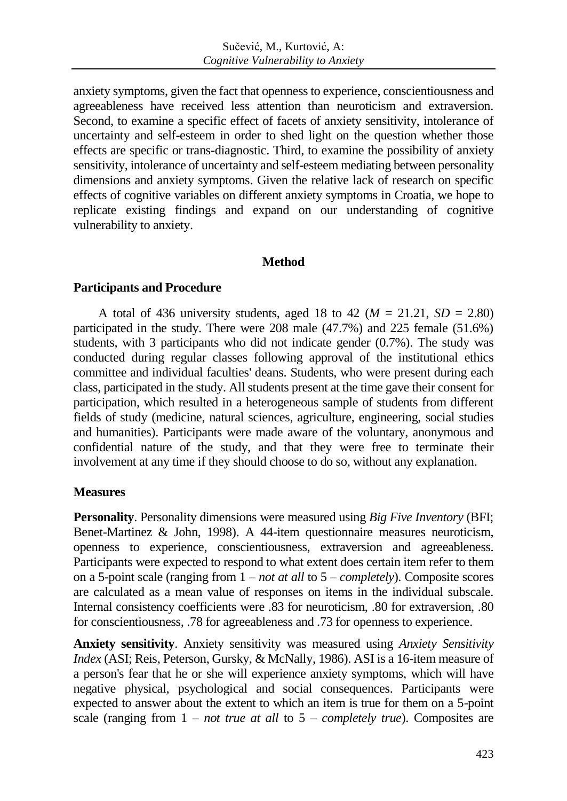anxiety symptoms, given the fact that openness to experience, conscientiousness and agreeableness have received less attention than neuroticism and extraversion. Second, to examine a specific effect of facets of anxiety sensitivity, intolerance of uncertainty and self-esteem in order to shed light on the question whether those effects are specific or trans-diagnostic. Third, to examine the possibility of anxiety sensitivity, intolerance of uncertainty and self-esteem mediating between personality dimensions and anxiety symptoms. Given the relative lack of research on specific effects of cognitive variables on different anxiety symptoms in Croatia, we hope to replicate existing findings and expand on our understanding of cognitive vulnerability to anxiety.

## **Method**

## **Participants and Procedure**

A total of 436 university students, aged 18 to 42 ( $M = 21.21$ ,  $SD = 2.80$ ) participated in the study. There were 208 male (47.7%) and 225 female (51.6%) students, with 3 participants who did not indicate gender (0.7%). The study was conducted during regular classes following approval of the institutional ethics committee and individual faculties' deans. Students, who were present during each class, participated in the study. All students present at the time gave their consent for participation, which resulted in a heterogeneous sample of students from different fields of study (medicine, natural sciences, agriculture, engineering, social studies and humanities). Participants were made aware of the voluntary, anonymous and confidential nature of the study, and that they were free to terminate their involvement at any time if they should choose to do so, without any explanation.

## **Measures**

**Personality**. Personality dimensions were measured using *Big Five Inventory* (BFI; Benet-Martinez & John, 1998). A 44-item questionnaire measures neuroticism, openness to experience, conscientiousness, extraversion and agreeableness. Participants were expected to respond to what extent does certain item refer to them on a 5-point scale (ranging from 1 – *not at all* to 5 – *completely*). Composite scores are calculated as a mean value of responses on items in the individual subscale. Internal consistency coefficients were .83 for neuroticism, .80 for extraversion, .80 for conscientiousness, .78 for agreeableness and .73 for openness to experience.

**Anxiety sensitivity**. Anxiety sensitivity was measured using *Anxiety Sensitivity Index* (ASI; Reis, Peterson, Gursky, & McNally, 1986). ASI is a 16-item measure of a person's fear that he or she will experience anxiety symptoms, which will have negative physical, psychological and social consequences. Participants were expected to answer about the extent to which an item is true for them on a 5-point scale (ranging from 1 – *not true at all* to 5 – *completely true*). Composites are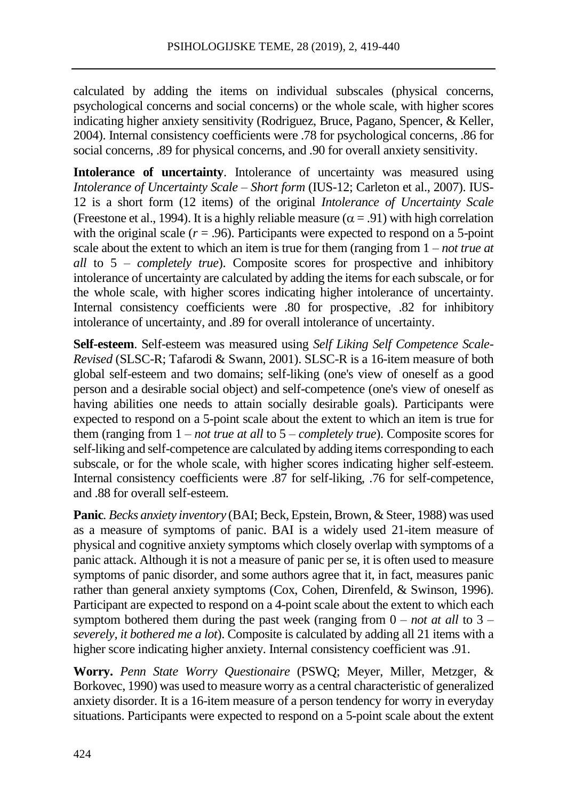calculated by adding the items on individual subscales (physical concerns, psychological concerns and social concerns) or the whole scale, with higher scores indicating higher anxiety sensitivity (Rodriguez, Bruce, Pagano, Spencer, & Keller, 2004). Internal consistency coefficients were .78 for psychological concerns, .86 for social concerns, .89 for physical concerns, and .90 for overall anxiety sensitivity.

**Intolerance of uncertainty**. Intolerance of uncertainty was measured using *Intolerance of Uncertainty Scale – Short form* (IUS-12; Carleton et al., 2007). IUS-12 is a short form (12 items) of the original *Intolerance of Uncertainty Scale*  (Freestone et al., 1994). It is a highly reliable measure ( $\alpha$  = .91) with high correlation with the original scale  $(r = .96)$ . Participants were expected to respond on a 5-point scale about the extent to which an item is true for them (ranging from 1 – *not true at all* to 5 – *completely true*). Composite scores for prospective and inhibitory intolerance of uncertainty are calculated by adding the items for each subscale, or for the whole scale, with higher scores indicating higher intolerance of uncertainty. Internal consistency coefficients were .80 for prospective, .82 for inhibitory intolerance of uncertainty, and .89 for overall intolerance of uncertainty.

**Self-esteem**. Self-esteem was measured using *Self Liking Self Competence Scale-Revised* (SLSC-R; Tafarodi & Swann, 2001). SLSC-R is a 16-item measure of both global self-esteem and two domains; self-liking (one's view of oneself as a good person and a desirable social object) and self-competence (one's view of oneself as having abilities one needs to attain socially desirable goals). Participants were expected to respond on a 5-point scale about the extent to which an item is true for them (ranging from 1 – *not true at all* to 5 – *completely true*). Composite scores for self-liking and self-competence are calculated by adding items corresponding to each subscale, or for the whole scale, with higher scores indicating higher self-esteem. Internal consistency coefficients were .87 for self-liking, .76 for self-competence, and .88 for overall self-esteem.

**Panic***. Becks anxiety inventory* (BAI; Beck, Epstein, Brown, & Steer, 1988) was used as a measure of symptoms of panic. BAI is a widely used 21-item measure of physical and cognitive anxiety symptoms which closely overlap with symptoms of a panic attack. Although it is not a measure of panic per se, it is often used to measure symptoms of panic disorder, and some authors agree that it, in fact, measures panic rather than general anxiety symptoms (Cox, Cohen, Direnfeld, & Swinson, 1996). Participant are expected to respond on a 4-point scale about the extent to which each symptom bothered them during the past week (ranging from  $0 - not$  *at all* to  $3$ *severely, it bothered me a lot*). Composite is calculated by adding all 21 items with a higher score indicating higher anxiety. Internal consistency coefficient was .91.

**Worry.** *Penn State Worry Questionaire* (PSWQ; Meyer, Miller, Metzger, & Borkovec, 1990) was used to measure worry as a central characteristic of generalized anxiety disorder. It is a 16-item measure of a person tendency for worry in everyday situations. Participants were expected to respond on a 5-point scale about the extent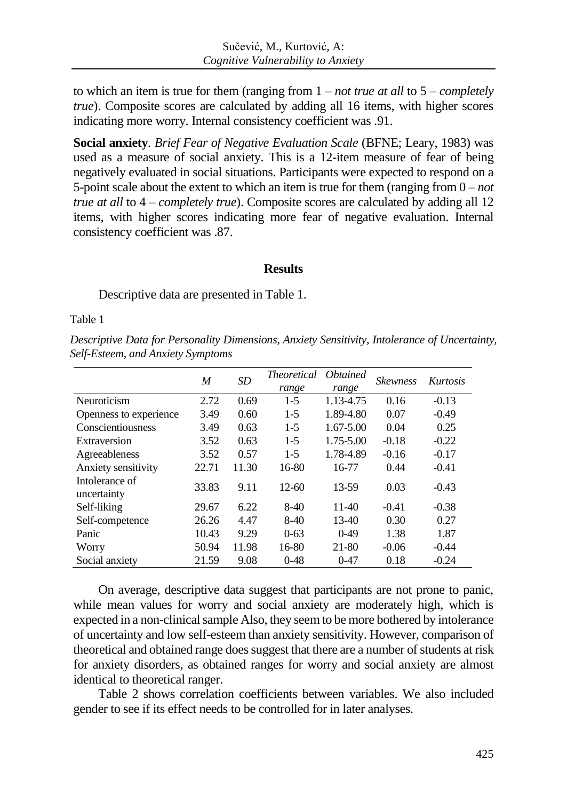to which an item is true for them (ranging from 1 – *not true at all* to 5 – *completely true*). Composite scores are calculated by adding all 16 items, with higher scores indicating more worry. Internal consistency coefficient was .91.

**Social anxiety***. Brief Fear of Negative Evaluation Scale* (BFNE; Leary, 1983) was used as a measure of social anxiety. This is a 12-item measure of fear of being negatively evaluated in social situations. Participants were expected to respond on a 5-point scale about the extent to which an item is true for them (ranging from 0 – *not true at all* to 4 – *completely true*). Composite scores are calculated by adding all 12 items, with higher scores indicating more fear of negative evaluation. Internal consistency coefficient was .87.

## **Results**

Descriptive data are presented in Table 1.

Table 1

*Descriptive Data for Personality Dimensions, Anxiety Sensitivity, Intolerance of Uncertainty, Self-Esteem, and Anxiety Symptoms*

|                               | M     | <b>SD</b> | <i>Theoretical</i> | <i><b>Obtained</b></i> | <b>Skewness</b> | <b>Kurtosis</b> |
|-------------------------------|-------|-----------|--------------------|------------------------|-----------------|-----------------|
|                               |       |           | range              | range                  |                 |                 |
| Neuroticism                   | 2.72  | 0.69      | $1 - 5$            | 1.13-4.75              | 0.16            | $-0.13$         |
| Openness to experience        | 3.49  | 0.60      | $1-5$              | 1.89-4.80              | 0.07            | $-0.49$         |
| Conscientiousness             | 3.49  | 0.63      | $1-5$              | 1.67-5.00              | 0.04            | 0.25            |
| Extraversion                  | 3.52  | 0.63      | $1-5$              | $1.75 - 5.00$          | $-0.18$         | $-0.22$         |
| Agreeableness                 | 3.52  | 0.57      | $1-5$              | 1.78-4.89              | $-0.16$         | $-0.17$         |
| Anxiety sensitivity           | 22.71 | 11.30     | 16-80              | 16-77                  | 0.44            | $-0.41$         |
| Intolerance of<br>uncertainty | 33.83 | 9.11      | $12 - 60$          | 13-59                  | 0.03            | $-0.43$         |
| Self-liking                   | 29.67 | 6.22      | $8-40$             | $11-40$                | $-0.41$         | $-0.38$         |
| Self-competence               | 26.26 | 4.47      | $8-40$             | $13-40$                | 0.30            | 0.27            |
| Panic                         | 10.43 | 9.29      | $0 - 63$           | $0-49$                 | 1.38            | 1.87            |
| Worry                         | 50.94 | 11.98     | $16-80$            | 21-80                  | $-0.06$         | $-0.44$         |
| Social anxiety                | 21.59 | 9.08      | $0 - 48$           | $0 - 47$               | 0.18            | $-0.24$         |

On average, descriptive data suggest that participants are not prone to panic, while mean values for worry and social anxiety are moderately high, which is expected in a non-clinical sample Also, they seem to be more bothered by intolerance of uncertainty and low self-esteem than anxiety sensitivity. However, comparison of theoretical and obtained range does suggest that there are a number of students at risk for anxiety disorders, as obtained ranges for worry and social anxiety are almost identical to theoretical ranger.

Table 2 shows correlation coefficients between variables. We also included gender to see if its effect needs to be controlled for in later analyses.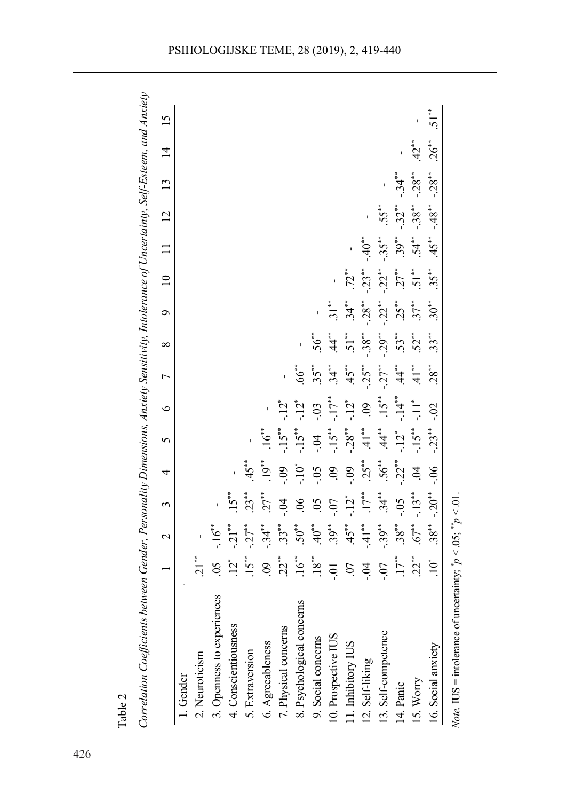|                                                             |                                                                                                                                                                                                                                                                                                              | $\mathbf{\Omega}$ | 3                                                                                                                  | 4                                                                                                                                                                                                                                  | 5                 | $\circ$                                                                                                                                                                                                                                                     | $\overline{ }$                                                                                  | $\infty$                                                                                  | $\mathbf{\hat{e}}$                      | $\overline{10}$               | $\Box$          | 12       | 13       | $\overline{4}$ | 15      |
|-------------------------------------------------------------|--------------------------------------------------------------------------------------------------------------------------------------------------------------------------------------------------------------------------------------------------------------------------------------------------------------|-------------------|--------------------------------------------------------------------------------------------------------------------|------------------------------------------------------------------------------------------------------------------------------------------------------------------------------------------------------------------------------------|-------------------|-------------------------------------------------------------------------------------------------------------------------------------------------------------------------------------------------------------------------------------------------------------|-------------------------------------------------------------------------------------------------|-------------------------------------------------------------------------------------------|-----------------------------------------|-------------------------------|-----------------|----------|----------|----------------|---------|
| 1. Gender                                                   |                                                                                                                                                                                                                                                                                                              |                   |                                                                                                                    |                                                                                                                                                                                                                                    |                   |                                                                                                                                                                                                                                                             |                                                                                                 |                                                                                           |                                         |                               |                 |          |          |                |         |
| 2. Neuroticism                                              | $21***$                                                                                                                                                                                                                                                                                                      |                   |                                                                                                                    |                                                                                                                                                                                                                                    |                   |                                                                                                                                                                                                                                                             |                                                                                                 |                                                                                           |                                         |                               |                 |          |          |                |         |
| 3. Openness to experiences                                  | 50                                                                                                                                                                                                                                                                                                           |                   |                                                                                                                    |                                                                                                                                                                                                                                    |                   |                                                                                                                                                                                                                                                             |                                                                                                 |                                                                                           |                                         |                               |                 |          |          |                |         |
| 4. Conscientiousness                                        |                                                                                                                                                                                                                                                                                                              |                   |                                                                                                                    |                                                                                                                                                                                                                                    |                   |                                                                                                                                                                                                                                                             |                                                                                                 |                                                                                           |                                         |                               |                 |          |          |                |         |
|                                                             |                                                                                                                                                                                                                                                                                                              |                   |                                                                                                                    |                                                                                                                                                                                                                                    |                   |                                                                                                                                                                                                                                                             |                                                                                                 |                                                                                           |                                         |                               |                 |          |          |                |         |
| 5. Extraversion<br>6. Agreeableness<br>7. Physical concerns | $\frac{12}{15}$ $\frac{1}{15}$ $\frac{1}{15}$ $\frac{1}{15}$ $\frac{1}{15}$ $\frac{1}{15}$ $\frac{1}{15}$ $\frac{1}{15}$ $\frac{1}{15}$ $\frac{1}{15}$ $\frac{1}{15}$ $\frac{1}{15}$ $\frac{1}{15}$ $\frac{1}{15}$ $\frac{1}{15}$ $\frac{1}{15}$ $\frac{1}{15}$ $\frac{1}{15}$ $\frac{1}{15}$ $\frac{1}{15}$ |                   | $.15^{**}$<br>$.23^{**}$<br>$.27^{**}$                                                                             | $45 \overset{\ast}{\phantom{0}}{2}$<br>$\phantom{0}19 \overset{\ast}{\phantom{0}}{2}$<br>$\phantom{0}10 \overset{\ast}{\phantom{0}}$<br>$\phantom{0}09 \overset{\ast}{\phantom{0}}$<br>$\phantom{0}09 \overset{\ast}{\phantom{0}}$ | $\ddot{\delta}^*$ |                                                                                                                                                                                                                                                             |                                                                                                 |                                                                                           |                                         |                               |                 |          |          |                |         |
|                                                             |                                                                                                                                                                                                                                                                                                              |                   |                                                                                                                    |                                                                                                                                                                                                                                    |                   | $\sum_{i=1}^{n}$                                                                                                                                                                                                                                            |                                                                                                 |                                                                                           |                                         |                               |                 |          |          |                |         |
| 8. Psychological concerns                                   |                                                                                                                                                                                                                                                                                                              |                   | $\begin{array}{c} 06 \\ 05 \\ -10 \\ -11 \\ +11 \\ +34 \\ +36 \\ -103 \\ +31 \\ +34 \\ -103 \\ +31 \\ \end{array}$ |                                                                                                                                                                                                                                    |                   | $\frac{1}{1}$<br>$\frac{1}{1}$<br>$\frac{1}{1}$<br>$\frac{1}{1}$<br>$\frac{1}{1}$<br>$\frac{1}{1}$<br>$\frac{1}{1}$<br>$\frac{1}{1}$<br>$\frac{1}{1}$<br>$\frac{1}{1}$<br>$\frac{1}{1}$<br>$\frac{1}{1}$<br>$\frac{1}{1}$<br>$\frac{1}{1}$<br>$\frac{1}{1}$ | $66$ **                                                                                         |                                                                                           |                                         |                               |                 |          |          |                |         |
| 9. Social concerns                                          |                                                                                                                                                                                                                                                                                                              |                   |                                                                                                                    |                                                                                                                                                                                                                                    |                   |                                                                                                                                                                                                                                                             |                                                                                                 |                                                                                           |                                         |                               |                 |          |          |                |         |
| 10. Prospective IUS                                         |                                                                                                                                                                                                                                                                                                              |                   |                                                                                                                    |                                                                                                                                                                                                                                    |                   |                                                                                                                                                                                                                                                             | $35$ <sup>**</sup><br>$34$ <sup>**</sup><br>$45$ <sup>**</sup><br>$45$ <sup>**</sup><br>$41$ ** | $56^{**}$<br>$\ddot{44}^{**}$<br>$\ddot{51}^{**}$<br>$\ddot{53}^{**}$<br>$\ddot{55}^{**}$ | $.31***$                                |                               |                 |          |          |                |         |
| 11. Inhibitory IUS                                          |                                                                                                                                                                                                                                                                                                              |                   |                                                                                                                    |                                                                                                                                                                                                                                    |                   |                                                                                                                                                                                                                                                             |                                                                                                 |                                                                                           |                                         | $.72***$<br>-.23**            |                 |          |          |                |         |
| 12. Self-liking                                             |                                                                                                                                                                                                                                                                                                              |                   |                                                                                                                    | $-0.9$<br>$-5.5$ $+1.22$                                                                                                                                                                                                           |                   |                                                                                                                                                                                                                                                             |                                                                                                 |                                                                                           | $34**$<br>$-28**$<br>$-32**$<br>$-32**$ |                               | $-40**$         |          |          |                |         |
| 13. Self-competence                                         |                                                                                                                                                                                                                                                                                                              |                   |                                                                                                                    |                                                                                                                                                                                                                                    |                   |                                                                                                                                                                                                                                                             |                                                                                                 |                                                                                           |                                         | $-22**$<br>$27***$<br>$51***$ |                 | $.55***$ |          |                |         |
| 14. Panic                                                   |                                                                                                                                                                                                                                                                                                              |                   |                                                                                                                    |                                                                                                                                                                                                                                    |                   |                                                                                                                                                                                                                                                             |                                                                                                 | $.52**$                                                                                   |                                         |                               | $-35**$<br>39** | $-32**$  | $-34**$  |                |         |
| 15. Worry                                                   | $\frac{17}{17}$<br>$\frac{7}{17}$                                                                                                                                                                                                                                                                            |                   |                                                                                                                    | $\ddot{q}$                                                                                                                                                                                                                         |                   |                                                                                                                                                                                                                                                             |                                                                                                 |                                                                                           |                                         |                               | $54**$          | $-38**$  | $-28$ ** | $42$ **        |         |
| 16. Social anxiety                                          | $10^*$                                                                                                                                                                                                                                                                                                       | $38^{**}$         | $-20**$                                                                                                            | $-0.06$                                                                                                                                                                                                                            | $-23**$           | $-0.2$                                                                                                                                                                                                                                                      | $28***$                                                                                         | $33**$                                                                                    | $30^{**}$                               | $35***$                       | $45**$          | $-48**$  | $-28***$ | $26***$        | $51***$ |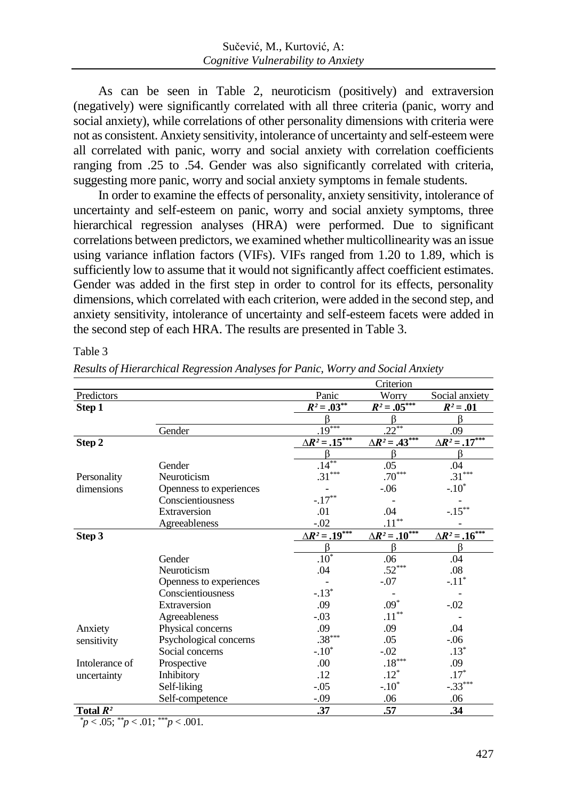As can be seen in Table 2, neuroticism (positively) and extraversion (negatively) were significantly correlated with all three criteria (panic, worry and social anxiety), while correlations of other personality dimensions with criteria were not as consistent. Anxiety sensitivity, intolerance of uncertainty and self-esteem were all correlated with panic, worry and social anxiety with correlation coefficients ranging from .25 to .54. Gender was also significantly correlated with criteria, suggesting more panic, worry and social anxiety symptoms in female students.

In order to examine the effects of personality, anxiety sensitivity, intolerance of uncertainty and self-esteem on panic, worry and social anxiety symptoms, three hierarchical regression analyses (HRA) were performed. Due to significant correlations between predictors, we examined whether multicollinearity was an issue using variance inflation factors (VIFs). VIFs ranged from 1.20 to 1.89, which is sufficiently low to assume that it would not significantly affect coefficient estimates. Gender was added in the first step in order to control for its effects, personality dimensions, which correlated with each criterion, were added in the second step, and anxiety sensitivity, intolerance of uncertainty and self-esteem facets were added in the second step of each HRA. The results are presented in Table 3.

Table 3

|                |                         |                          | Criterion                |                          |
|----------------|-------------------------|--------------------------|--------------------------|--------------------------|
| Predictors     |                         | Panic                    | Worry                    | Social anxiety           |
| Step 1         |                         | $R^2 = .03^{**}$         | $R^2 = .05^{***}$        | $R^2 = .01$              |
|                |                         |                          |                          |                          |
|                | Gender                  | $.19***$                 | $.22***$                 | .09                      |
| Step 2         |                         | $\Delta R^2 = .15^{***}$ | $\Delta R^2 = .43^{***}$ | $\Delta R^2 = .17^{***}$ |
|                |                         | ß                        | ß                        | ß                        |
|                | Gender                  | $.14***$                 | .05                      | .04                      |
| Personality    | Neuroticism             | $.31***$                 | $.70***$                 | $.31***$                 |
| dimensions     | Openness to experiences |                          | $-.06$                   | $-.10*$                  |
|                | Conscientiousness       | $-.17***$                |                          |                          |
|                | Extraversion            | .01                      | .04                      | $-.15***$                |
|                | Agreeableness           | $-.02$                   | $.11^{\ast\ast}$         |                          |
| Step 3         |                         | $\Delta R^2 = .19^{***}$ | $\Delta R^2 = .10^{***}$ | $\Delta R^2 = .16^{***}$ |
|                |                         | ß                        | ß                        | ß                        |
|                | Gender                  | $.10*$                   | .06                      | .04                      |
|                | Neuroticism             | .04                      | $.52***$                 | .08                      |
|                | Openness to experiences |                          | $-.07$                   | $-.11*$                  |
|                | Conscientiousness       | $-.13*$                  |                          |                          |
|                | Extraversion            | .09                      | $.09*$                   | $-0.02$                  |
|                | Agreeableness           | $-.03$                   | $.11^{\ast\ast}$         |                          |
| Anxiety        | Physical concerns       | .09                      | .09                      | .04                      |
| sensitivity    | Psychological concerns  | $.38***$                 | .05                      | $-0.06$                  |
|                | Social concerns         | $-.10*$                  | $-0.02$                  | $.13*$                   |
| Intolerance of | Prospective             | .00                      | $.18^{\ast\ast\ast}$     | .09                      |
| uncertainty    | Inhibitory              | .12                      | $.12*$                   | $.17*$                   |
|                | Self-liking             | $-.05$                   | $-.10*$                  | $-.33***$                |
|                | Self-competence         | $-.09$                   | .06                      | .06                      |
| Total $R^2$    |                         | .37                      | .57                      | .34                      |

*Results of Hierarchical Regression Analyses for Panic, Worry and Social Anxiety*

*\*p* < .05; *\*\*p* < .01; *\*\*\*p* < .001*.*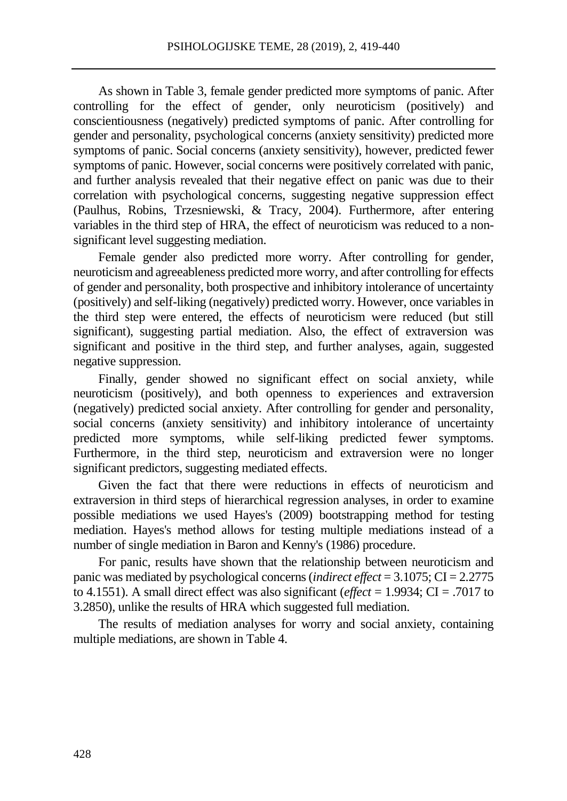As shown in Table 3, female gender predicted more symptoms of panic. After controlling for the effect of gender, only neuroticism (positively) and conscientiousness (negatively) predicted symptoms of panic. After controlling for gender and personality, psychological concerns (anxiety sensitivity) predicted more symptoms of panic. Social concerns (anxiety sensitivity), however, predicted fewer symptoms of panic. However, social concerns were positively correlated with panic, and further analysis revealed that their negative effect on panic was due to their correlation with psychological concerns, suggesting negative suppression effect (Paulhus, Robins, Trzesniewski, & Tracy, 2004). Furthermore, after entering variables in the third step of HRA, the effect of neuroticism was reduced to a nonsignificant level suggesting mediation.

Female gender also predicted more worry. After controlling for gender, neuroticism and agreeableness predicted more worry, and after controlling for effects of gender and personality, both prospective and inhibitory intolerance of uncertainty (positively) and self-liking (negatively) predicted worry. However, once variables in the third step were entered, the effects of neuroticism were reduced (but still significant), suggesting partial mediation. Also, the effect of extraversion was significant and positive in the third step, and further analyses, again, suggested negative suppression.

Finally, gender showed no significant effect on social anxiety, while neuroticism (positively), and both openness to experiences and extraversion (negatively) predicted social anxiety. After controlling for gender and personality, social concerns (anxiety sensitivity) and inhibitory intolerance of uncertainty predicted more symptoms, while self-liking predicted fewer symptoms. Furthermore, in the third step, neuroticism and extraversion were no longer significant predictors, suggesting mediated effects.

Given the fact that there were reductions in effects of neuroticism and extraversion in third steps of hierarchical regression analyses, in order to examine possible mediations we used Hayes's (2009) bootstrapping method for testing mediation. Hayes's method allows for testing multiple mediations instead of a number of single mediation in Baron and Kenny's (1986) procedure.

For panic, results have shown that the relationship between neuroticism and panic was mediated by psychological concerns(*indirect effect* = 3.1075; CI = 2.2775 to 4.1551). A small direct effect was also significant (*effect* = 1.9934; CI = .7017 to 3.2850), unlike the results of HRA which suggested full mediation.

The results of mediation analyses for worry and social anxiety, containing multiple mediations, are shown in Table 4.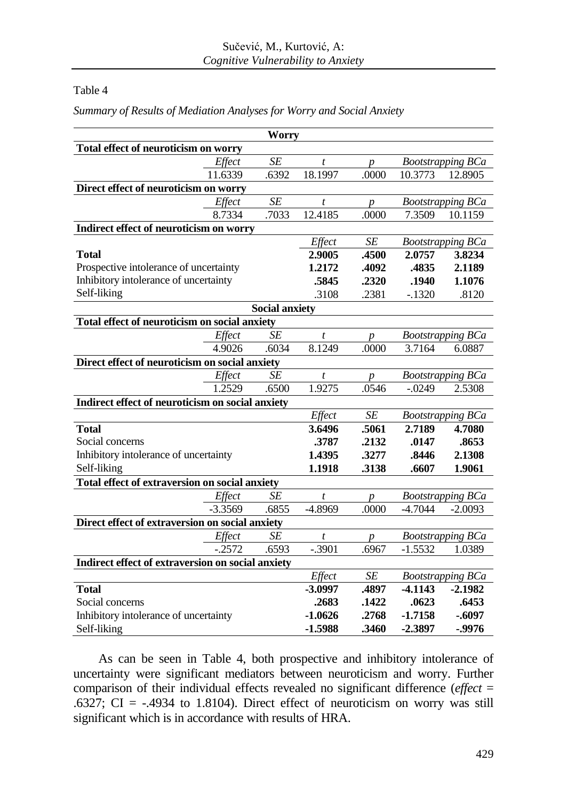## Table 4

|                                                   |           | Worry                 |                  |                  |           |                          |
|---------------------------------------------------|-----------|-----------------------|------------------|------------------|-----------|--------------------------|
| Total effect of neuroticism on worry              |           |                       |                  |                  |           |                          |
|                                                   | Effect    | SE                    | $\boldsymbol{t}$ | $\boldsymbol{p}$ |           | <b>Bootstrapping BCa</b> |
|                                                   | 11.6339   | .6392                 | 18.1997          | .0000            | 10.3773   | 12.8905                  |
| Direct effect of neuroticism on worry             |           |                       |                  |                  |           |                          |
|                                                   | Effect    | SE                    | $\bar{t}$        | $\boldsymbol{p}$ |           | <b>Bootstrapping BCa</b> |
|                                                   | 8.7334    | .7033                 | 12.4185          | .0000            | 7.3509    | 10.1159                  |
| Indirect effect of neuroticism on worry           |           |                       |                  |                  |           |                          |
|                                                   |           |                       | Effect           | SE               |           | <b>Bootstrapping BCa</b> |
| <b>Total</b>                                      |           |                       | 2.9005           | .4500            | 2.0757    | 3.8234                   |
| Prospective intolerance of uncertainty            |           |                       | 1.2172           | .4092            | .4835     | 2.1189                   |
| Inhibitory intolerance of uncertainty             |           |                       | .5845            | .2320            | .1940     | 1.1076                   |
| Self-liking                                       |           |                       | .3108            | .2381            | $-.1320$  | .8120                    |
|                                                   |           | <b>Social anxiety</b> |                  |                  |           |                          |
| Total effect of neuroticism on social anxiety     |           |                       |                  |                  |           |                          |
|                                                   | Effect    | <b>SE</b>             | $\boldsymbol{t}$ | $\boldsymbol{p}$ |           | <b>Bootstrapping BCa</b> |
|                                                   | 4.9026    | .6034                 | 8.1249           | .0000            | 3.7164    | 6.0887                   |
| Direct effect of neuroticism on social anxiety    |           |                       |                  |                  |           |                          |
|                                                   | Effect    | SE                    | $\bar{t}$        | $\boldsymbol{p}$ |           | <b>Bootstrapping BCa</b> |
|                                                   | 1.2529    | .6500                 | 1.9275           | .0546            | $-.0249$  | 2.5308                   |
| Indirect effect of neuroticism on social anxiety  |           |                       |                  |                  |           |                          |
|                                                   |           |                       | Effect           | $\cal SE$        |           | <b>Bootstrapping BCa</b> |
| <b>Total</b>                                      |           |                       | 3.6496           | .5061            | 2.7189    | 4.7080                   |
| Social concerns                                   |           |                       | .3787            | .2132            | .0147     | .8653                    |
| Inhibitory intolerance of uncertainty             |           |                       | 1.4395           | .3277            | .8446     | 2.1308                   |
| Self-liking                                       |           |                       | 1.1918           | .3138            | .6607     | 1.9061                   |
| Total effect of extraversion on social anxiety    |           |                       |                  |                  |           |                          |
|                                                   | Effect    | <b>SE</b>             | t                | $\boldsymbol{p}$ |           | <b>Bootstrapping BCa</b> |
|                                                   | $-3.3569$ | .6855                 | -4.8969          | .0000            | $-4.7044$ | $-2.0093$                |
| Direct effect of extraversion on social anxiety   |           |                       |                  |                  |           |                          |
|                                                   | Effect    | <b>SE</b>             | t                | $\boldsymbol{p}$ |           | <b>Bootstrapping BCa</b> |
|                                                   | $-.2572$  | .6593                 | $-.3901$         | .6967            | $-1.5532$ | 1.0389                   |
| Indirect effect of extraversion on social anxiety |           |                       |                  |                  |           |                          |
|                                                   |           |                       | Effect           | SE               |           | <b>Bootstrapping BCa</b> |
| <b>Total</b>                                      |           |                       | $-3.0997$        | .4897            | $-4.1143$ | $-2.1982$                |
| Social concerns                                   |           |                       | .2683            | .1422            | .0623     | .6453                    |
| Inhibitory intolerance of uncertainty             |           |                       | $-1.0626$        | .2768            | $-1.7158$ | $-.6097$                 |
| Self-liking                                       |           |                       | $-1.5988$        | .3460            | $-2.3897$ | $-0.9976$                |

*Summary of Results of Mediation Analyses for Worry and Social Anxiety*

As can be seen in Table 4, both prospective and inhibitory intolerance of uncertainty were significant mediators between neuroticism and worry. Further comparison of their individual effects revealed no significant difference (*effect* = .6327; CI =  $-4934$  to 1.8104). Direct effect of neuroticism on worry was still significant which is in accordance with results of HRA.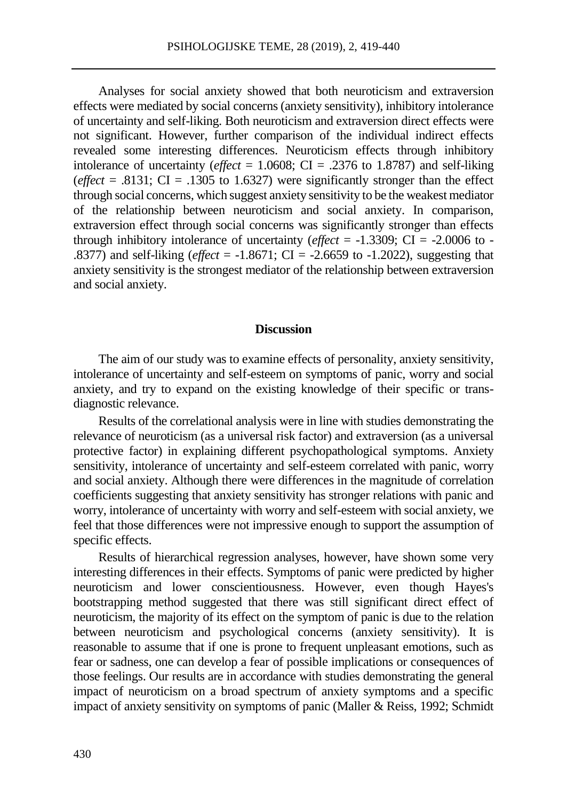Analyses for social anxiety showed that both neuroticism and extraversion effects were mediated by social concerns (anxiety sensitivity), inhibitory intolerance of uncertainty and self-liking. Both neuroticism and extraversion direct effects were not significant. However, further comparison of the individual indirect effects revealed some interesting differences. Neuroticism effects through inhibitory intolerance of uncertainty (*effect* = 1.0608; CI = .2376 to 1.8787) and self-liking (*effect* = .8131;  $CI = .1305$  to 1.6327) were significantly stronger than the effect through social concerns, which suggest anxiety sensitivity to be the weakest mediator of the relationship between neuroticism and social anxiety. In comparison, extraversion effect through social concerns was significantly stronger than effects through inhibitory intolerance of uncertainty (*effect* =  $-1.3309$ ; CI =  $-2.0006$  to -.8377) and self-liking (*effect* = -1.8671; CI = -2.6659 to -1.2022), suggesting that anxiety sensitivity is the strongest mediator of the relationship between extraversion and social anxiety.

#### **Discussion**

The aim of our study was to examine effects of personality, anxiety sensitivity, intolerance of uncertainty and self-esteem on symptoms of panic, worry and social anxiety, and try to expand on the existing knowledge of their specific or transdiagnostic relevance.

Results of the correlational analysis were in line with studies demonstrating the relevance of neuroticism (as a universal risk factor) and extraversion (as a universal protective factor) in explaining different psychopathological symptoms. Anxiety sensitivity, intolerance of uncertainty and self-esteem correlated with panic, worry and social anxiety. Although there were differences in the magnitude of correlation coefficients suggesting that anxiety sensitivity has stronger relations with panic and worry, intolerance of uncertainty with worry and self-esteem with social anxiety, we feel that those differences were not impressive enough to support the assumption of specific effects.

Results of hierarchical regression analyses, however, have shown some very interesting differences in their effects. Symptoms of panic were predicted by higher neuroticism and lower conscientiousness. However, even though Hayes's bootstrapping method suggested that there was still significant direct effect of neuroticism, the majority of its effect on the symptom of panic is due to the relation between neuroticism and psychological concerns (anxiety sensitivity). It is reasonable to assume that if one is prone to frequent unpleasant emotions, such as fear or sadness, one can develop a fear of possible implications or consequences of those feelings. Our results are in accordance with studies demonstrating the general impact of neuroticism on a broad spectrum of anxiety symptoms and a specific impact of anxiety sensitivity on symptoms of panic (Maller & Reiss, 1992; Schmidt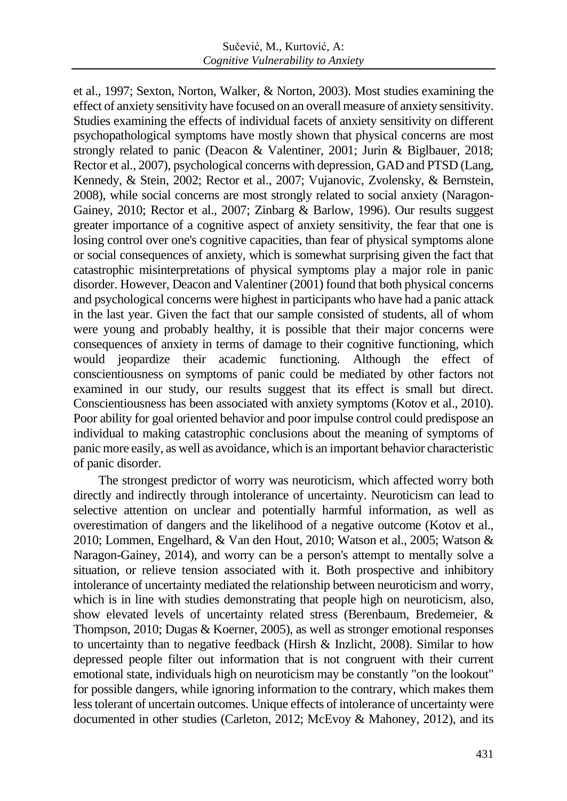et al., 1997; Sexton, Norton, Walker, & Norton, 2003). Most studies examining the effect of anxiety sensitivity have focused on an overall measure of anxiety sensitivity. Studies examining the effects of individual facets of anxiety sensitivity on different psychopathological symptoms have mostly shown that physical concerns are most strongly related to panic (Deacon & Valentiner, 2001; Jurin & Biglbauer, 2018; Rector et al., 2007), psychological concerns with depression, GAD and PTSD (Lang, Kennedy, & Stein, 2002; Rector et al., 2007; Vujanovic, Zvolensky, & Bernstein, 2008), while social concerns are most strongly related to social anxiety (Naragon-Gainey, 2010; Rector et al., 2007; Zinbarg & Barlow, 1996). Our results suggest greater importance of a cognitive aspect of anxiety sensitivity, the fear that one is losing control over one's cognitive capacities, than fear of physical symptoms alone or social consequences of anxiety, which is somewhat surprising given the fact that catastrophic misinterpretations of physical symptoms play a major role in panic disorder. However, Deacon and Valentiner (2001) found that both physical concerns and psychological concerns were highest in participants who have had a panic attack in the last year. Given the fact that our sample consisted of students, all of whom were young and probably healthy, it is possible that their major concerns were consequences of anxiety in terms of damage to their cognitive functioning, which would jeopardize their academic functioning. Although the effect of conscientiousness on symptoms of panic could be mediated by other factors not examined in our study, our results suggest that its effect is small but direct. Conscientiousness has been associated with anxiety symptoms (Kotov et al., 2010). Poor ability for goal oriented behavior and poor impulse control could predispose an individual to making catastrophic conclusions about the meaning of symptoms of panic more easily, as well as avoidance, which is an important behavior characteristic of panic disorder.

The strongest predictor of worry was neuroticism, which affected worry both directly and indirectly through intolerance of uncertainty. Neuroticism can lead to selective attention on unclear and potentially harmful information, as well as overestimation of dangers and the likelihood of a negative outcome (Kotov et al., 2010; Lommen, Engelhard, & Van den Hout, 2010; Watson et al., 2005; Watson & Naragon-Gainey, 2014), and worry can be a person's attempt to mentally solve a situation, or relieve tension associated with it. Both prospective and inhibitory intolerance of uncertainty mediated the relationship between neuroticism and worry, which is in line with studies demonstrating that people high on neuroticism, also, show elevated levels of uncertainty related stress (Berenbaum, Bredemeier, & Thompson, 2010; Dugas & Koerner, 2005), as well as stronger emotional responses to uncertainty than to negative feedback (Hirsh & Inzlicht, 2008). Similar to how depressed people filter out information that is not congruent with their current emotional state, individuals high on neuroticism may be constantly "on the lookout" for possible dangers, while ignoring information to the contrary, which makes them less tolerant of uncertain outcomes. Unique effects of intolerance of uncertainty were documented in other studies (Carleton, 2012; McEvoy & Mahoney, 2012), and its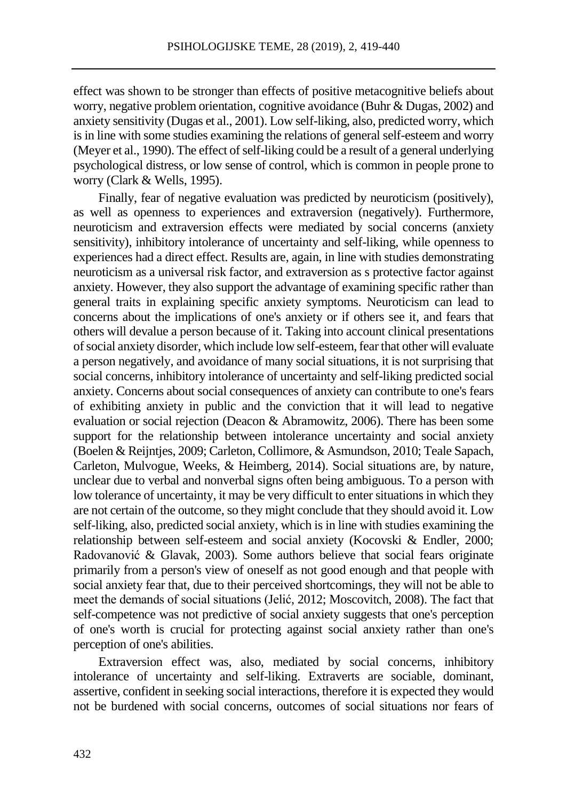effect was shown to be stronger than effects of positive metacognitive beliefs about worry, negative problem orientation, cognitive avoidance (Buhr & Dugas, 2002) and anxiety sensitivity (Dugas et al., 2001). Low self-liking, also, predicted worry, which is in line with some studies examining the relations of general self-esteem and worry (Meyer et al., 1990). The effect of self-liking could be a result of a general underlying psychological distress, or low sense of control, which is common in people prone to worry (Clark & Wells, 1995).

Finally, fear of negative evaluation was predicted by neuroticism (positively), as well as openness to experiences and extraversion (negatively). Furthermore, neuroticism and extraversion effects were mediated by social concerns (anxiety sensitivity), inhibitory intolerance of uncertainty and self-liking, while openness to experiences had a direct effect. Results are, again, in line with studies demonstrating neuroticism as a universal risk factor, and extraversion as s protective factor against anxiety. However, they also support the advantage of examining specific rather than general traits in explaining specific anxiety symptoms. Neuroticism can lead to concerns about the implications of one's anxiety or if others see it, and fears that others will devalue a person because of it. Taking into account clinical presentations of social anxiety disorder, which include low self-esteem, fear that other will evaluate a person negatively, and avoidance of many social situations, it is not surprising that social concerns, inhibitory intolerance of uncertainty and self-liking predicted social anxiety. Concerns about social consequences of anxiety can contribute to one's fears of exhibiting anxiety in public and the conviction that it will lead to negative evaluation or social rejection (Deacon & Abramowitz, 2006). There has been some support for the relationship between intolerance uncertainty and social anxiety (Boelen & Reijntjes, 2009; Carleton, Collimore, & Asmundson, 2010; Teale Sapach, Carleton, Mulvogue, Weeks, & Heimberg, 2014). Social situations are, by nature, unclear due to verbal and nonverbal signs often being ambiguous. To a person with low tolerance of uncertainty, it may be very difficult to enter situations in which they are not certain of the outcome, so they might conclude that they should avoid it. Low self-liking, also, predicted social anxiety, which is in line with studies examining the relationship between self-esteem and social anxiety (Kocovski & Endler, 2000; Radovanović & Glavak, 2003). Some authors believe that social fears originate primarily from a person's view of oneself as not good enough and that people with social anxiety fear that, due to their perceived shortcomings, they will not be able to meet the demands of social situations (Jelić, 2012; Moscovitch, 2008). The fact that self-competence was not predictive of social anxiety suggests that one's perception of one's worth is crucial for protecting against social anxiety rather than one's perception of one's abilities.

Extraversion effect was, also, mediated by social concerns, inhibitory intolerance of uncertainty and self-liking. Extraverts are sociable, dominant, assertive, confident in seeking social interactions, therefore it is expected they would not be burdened with social concerns, outcomes of social situations nor fears of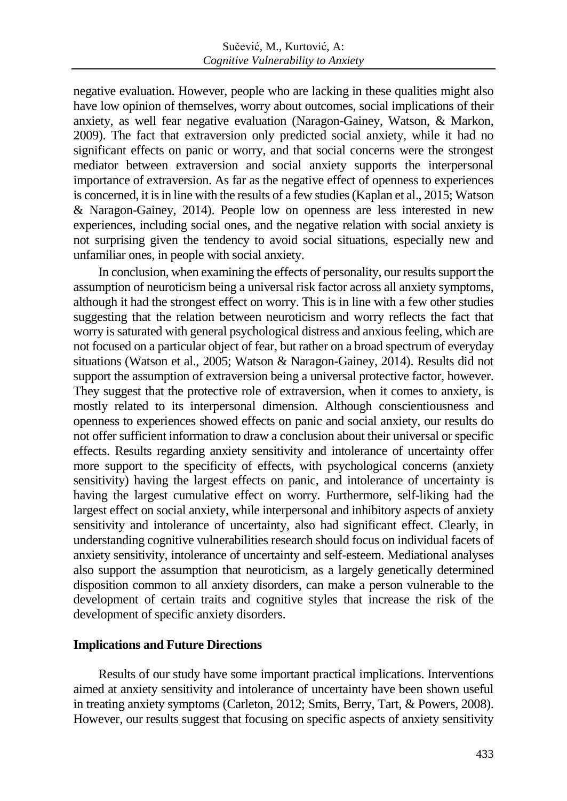negative evaluation. However, people who are lacking in these qualities might also have low opinion of themselves, worry about outcomes, social implications of their anxiety, as well fear negative evaluation (Naragon-Gainey, Watson, & Markon, 2009). The fact that extraversion only predicted social anxiety, while it had no significant effects on panic or worry, and that social concerns were the strongest mediator between extraversion and social anxiety supports the interpersonal importance of extraversion. As far as the negative effect of openness to experiences is concerned, it is in line with the results of a few studies (Kaplan et al., 2015; Watson & Naragon-Gainey, 2014). People low on openness are less interested in new experiences, including social ones, and the negative relation with social anxiety is not surprising given the tendency to avoid social situations, especially new and unfamiliar ones, in people with social anxiety.

In conclusion, when examining the effects of personality, our results support the assumption of neuroticism being a universal risk factor across all anxiety symptoms, although it had the strongest effect on worry. This is in line with a few other studies suggesting that the relation between neuroticism and worry reflects the fact that worry is saturated with general psychological distress and anxious feeling, which are not focused on a particular object of fear, but rather on a broad spectrum of everyday situations (Watson et al., 2005; Watson & Naragon-Gainey, 2014). Results did not support the assumption of extraversion being a universal protective factor, however. They suggest that the protective role of extraversion, when it comes to anxiety, is mostly related to its interpersonal dimension. Although conscientiousness and openness to experiences showed effects on panic and social anxiety, our results do not offer sufficient information to draw a conclusion about their universal or specific effects. Results regarding anxiety sensitivity and intolerance of uncertainty offer more support to the specificity of effects, with psychological concerns (anxiety sensitivity) having the largest effects on panic, and intolerance of uncertainty is having the largest cumulative effect on worry. Furthermore, self-liking had the largest effect on social anxiety, while interpersonal and inhibitory aspects of anxiety sensitivity and intolerance of uncertainty, also had significant effect. Clearly, in understanding cognitive vulnerabilities research should focus on individual facets of anxiety sensitivity, intolerance of uncertainty and self-esteem. Mediational analyses also support the assumption that neuroticism, as a largely genetically determined disposition common to all anxiety disorders, can make a person vulnerable to the development of certain traits and cognitive styles that increase the risk of the development of specific anxiety disorders.

## **Implications and Future Directions**

Results of our study have some important practical implications. Interventions aimed at anxiety sensitivity and intolerance of uncertainty have been shown useful in treating anxiety symptoms (Carleton, 2012; Smits, Berry, Tart, & Powers, 2008). However, our results suggest that focusing on specific aspects of anxiety sensitivity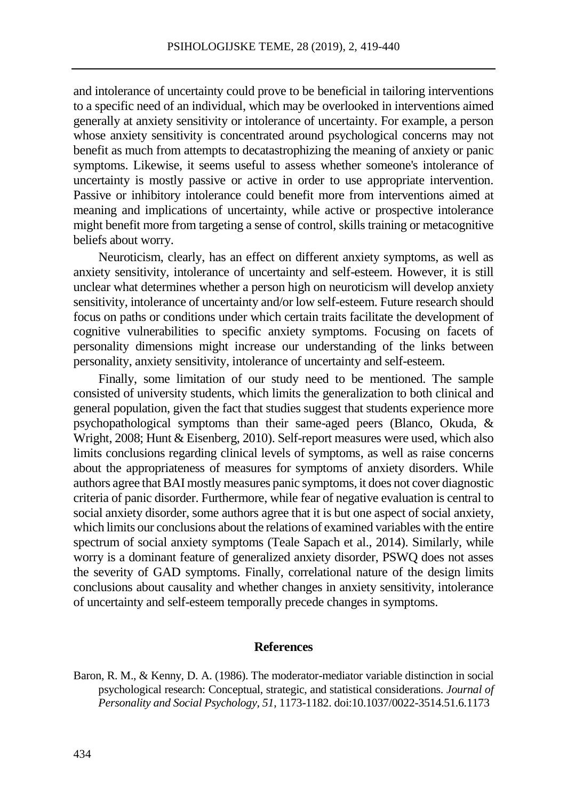and intolerance of uncertainty could prove to be beneficial in tailoring interventions to a specific need of an individual, which may be overlooked in interventions aimed generally at anxiety sensitivity or intolerance of uncertainty. For example, a person whose anxiety sensitivity is concentrated around psychological concerns may not benefit as much from attempts to decatastrophizing the meaning of anxiety or panic symptoms. Likewise, it seems useful to assess whether someone's intolerance of uncertainty is mostly passive or active in order to use appropriate intervention. Passive or inhibitory intolerance could benefit more from interventions aimed at meaning and implications of uncertainty, while active or prospective intolerance might benefit more from targeting a sense of control, skills training or metacognitive beliefs about worry.

Neuroticism, clearly, has an effect on different anxiety symptoms, as well as anxiety sensitivity, intolerance of uncertainty and self-esteem. However, it is still unclear what determines whether a person high on neuroticism will develop anxiety sensitivity, intolerance of uncertainty and/or low self-esteem. Future research should focus on paths or conditions under which certain traits facilitate the development of cognitive vulnerabilities to specific anxiety symptoms. Focusing on facets of personality dimensions might increase our understanding of the links between personality, anxiety sensitivity, intolerance of uncertainty and self-esteem.

Finally, some limitation of our study need to be mentioned. The sample consisted of university students, which limits the generalization to both clinical and general population, given the fact that studies suggest that students experience more psychopathological symptoms than their same-aged peers (Blanco, Okuda, & Wright, 2008; Hunt & Eisenberg, 2010). Self-report measures were used, which also limits conclusions regarding clinical levels of symptoms, as well as raise concerns about the appropriateness of measures for symptoms of anxiety disorders. While authors agree that BAI mostly measures panic symptoms, it does not cover diagnostic criteria of panic disorder. Furthermore, while fear of negative evaluation is central to social anxiety disorder, some authors agree that it is but one aspect of social anxiety, which limits our conclusions about the relations of examined variables with the entire spectrum of social anxiety symptoms (Teale Sapach et al., 2014). Similarly, while worry is a dominant feature of generalized anxiety disorder, PSWQ does not asses the severity of GAD symptoms. Finally, correlational nature of the design limits conclusions about causality and whether changes in anxiety sensitivity, intolerance of uncertainty and self-esteem temporally precede changes in symptoms.

#### **References**

Baron, R. M., & Kenny, D. A. (1986). The moderator-mediator variable distinction in social psychological research: Conceptual, strategic, and statistical considerations. *Journal of Personality and Social Psychology, 51*, 1173-1182. doi:10.1037/0022-3514.51.6.1173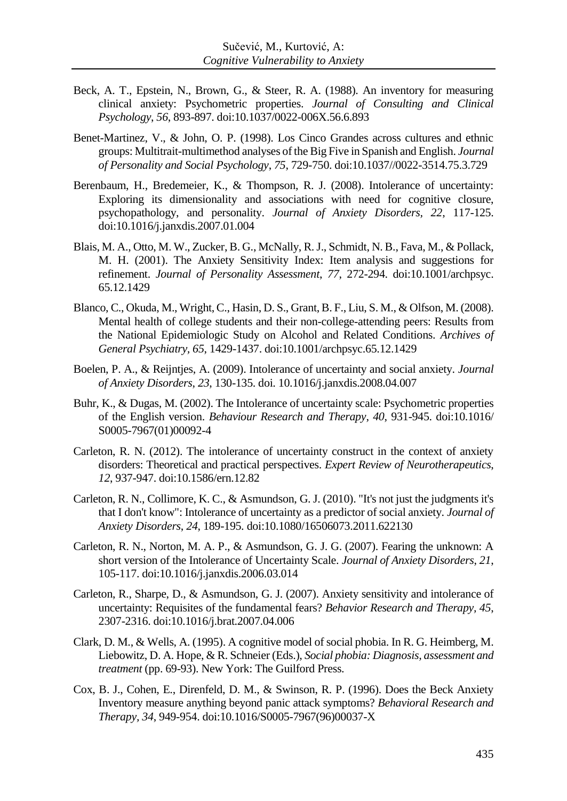- Beck, A. T., Epstein, N., Brown, G., & Steer, R. A. (1988). An inventory for measuring clinical anxiety: Psychometric properties. *Journal of Consulting and Clinical Psychology*, *56*, 893-897. doi:10.1037/0022-006X.56.6.893
- Benet-Martinez, V., & John, O. P. (1998). Los Cinco Grandes across cultures and ethnic groups: Multitrait-multimethod analyses of the Big Five in Spanish and English. *Journal of Personality and Social Psychology*, *75*, 729-750. doi:10.1037//0022-3514.75.3.729
- Berenbaum, H., Bredemeier, K., & Thompson, R. J. (2008). Intolerance of uncertainty: Exploring its dimensionality and associations with need for cognitive closure, psychopathology, and personality. *Journal of Anxiety Disorders, 22*, 117-125. doi:10.1016/j.janxdis.2007.01.004
- Blais, M. A., Otto, M. W., Zucker, B. G., McNally, R. J., Schmidt, N. B., Fava, M., & Pollack, M. H. (2001). The Anxiety Sensitivity Index: Item analysis and suggestions for refinement. *Journal of Personality Assessment*, *77*, 272-294. doi:10.1001/archpsyc. 65.12.1429
- Blanco, C., Okuda, M., Wright, C., Hasin, D. S., Grant, B. F., Liu, S. M., & Olfson, M. (2008). Mental health of college students and their non-college-attending peers: Results from the National Epidemiologic Study on Alcohol and Related Conditions. *Archives of General Psychiatry, 65*, 1429-1437. doi:10.1001/archpsyc.65.12.1429
- Boelen, P. A., & Reijntjes, A. (2009). Intolerance of uncertainty and social anxiety. *Journal of Anxiety Disorders*, *23*, 130-135. doi. 10.1016/j.janxdis.2008.04.007
- Buhr, K., & Dugas, M. (2002). The Intolerance of uncertainty scale: Psychometric properties of the English version. *Behaviour Research and Therapy*, *40*, 931-945. doi:10.1016/ S0005-7967(01)00092-4
- Carleton, R. N. (2012). The intolerance of uncertainty construct in the context of anxiety disorders: Theoretical and practical perspectives. *Expert Review of Neurotherapeutics*, *12*, 937-947. doi:10.1586/ern.12.82
- Carleton, R. N., Collimore, K. C., & Asmundson, G. J. (2010). "It's not just the judgments it's that I don't know": Intolerance of uncertainty as a predictor of social anxiety. *Journal of Anxiety Disorders*, *24*, 189-195. doi:10.1080/16506073.2011.622130
- Carleton, R. N., Norton, M. A. P., & Asmundson, G. J. G. (2007). Fearing the unknown: A short version of the Intolerance of Uncertainty Scale. *Journal of Anxiety Disorders*, *21*, 105-117. doi:10.1016/j.janxdis.2006.03.014
- Carleton, R., Sharpe, D., & Asmundson, G. J. (2007). Anxiety sensitivity and intolerance of uncertainty: Requisites of the fundamental fears? *Behavior Research and Therapy, 45*, 2307-2316. doi:10.1016/j.brat.2007.04.006
- Clark, D. M., & Wells, A. (1995). A cognitive model of social phobia. In R. G. Heimberg, M. Liebowitz, D. A. Hope, & R. Schneier (Eds.), *Social phobia: Diagnosis, assessment and treatment* (pp. 69-93). New York: The Guilford Press.
- Cox, B. J., Cohen, E., Direnfeld, D. M., & Swinson, R. P. (1996). Does the Beck Anxiety Inventory measure anything beyond panic attack symptoms? *Behavioral Research and Therapy, 34*, 949-954. doi:10.1016/S0005-7967(96)00037-X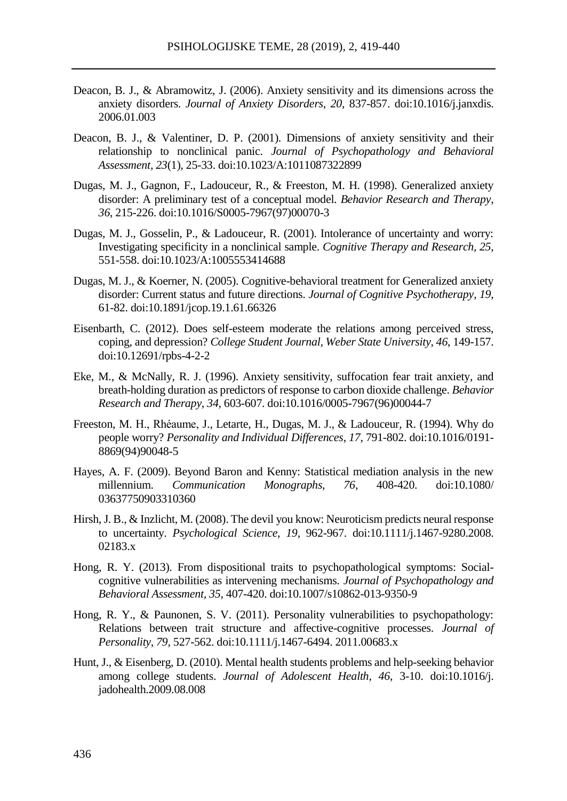- Deacon, B. J., & Abramowitz, J. (2006). Anxiety sensitivity and its dimensions across the anxiety disorders. *Journal of Anxiety Disorders*, *20*, 837-857. doi:10.1016/j.janxdis. 2006.01.003
- Deacon, B. J., & Valentiner, D. P. (2001). Dimensions of anxiety sensitivity and their relationship to nonclinical panic. *Journal of Psychopathology and Behavioral Assessment, 23*(1), 25-33. doi:10.1023/A:1011087322899
- Dugas, M. J., Gagnon, F., Ladouceur, R., & Freeston, M. H. (1998). Generalized anxiety disorder: A preliminary test of a conceptual model. *Behavior Research and Therapy*, *36*, 215-226. doi:10.1016/S0005-7967(97)00070-3
- Dugas, M. J., Gosselin, P., & Ladouceur, R. (2001). Intolerance of uncertainty and worry: Investigating specificity in a nonclinical sample. *Cognitive Therapy and Research, 25*, 551-558. doi:10.1023/A:1005553414688
- Dugas, M. J., & Koerner, N. (2005). Cognitive-behavioral treatment for Generalized anxiety disorder: Current status and future directions. *Journal of Cognitive Psychotherapy*, *19*, 61-82. doi:10.1891/jcop.19.1.61.66326
- Eisenbarth, C. (2012). Does self-esteem moderate the relations among perceived stress, coping, and depression? *College Student Journal, Weber State University*, *46*, 149-157. doi:10.12691/rpbs-4-2-2
- Eke, M., & McNally, R. J. (1996). Anxiety sensitivity, suffocation fear trait anxiety, and breath-holding duration as predictors of response to carbon dioxide challenge. *Behavior Research and Therapy*, *34,* 603-607. doi:10.1016/0005-7967(96)00044-7
- Freeston, M. H., Rhéaume, J., Letarte, H., Dugas, M. J., & Ladouceur, R. (1994). Why do people worry? *Personality and Individual Differences*, *17*, 791-802. doi:10.1016/0191- 8869(94)90048-5
- Hayes, A. F. (2009). Beyond Baron and Kenny: Statistical mediation analysis in the new millennium. Communication Monographs. 76, 408-420. doi:10.1080/ millennium. *Communication Monographs, 76*, 408-420. doi:10.1080/ 03637750903310360
- Hirsh, J. B., & Inzlicht, M. (2008). The devil you know: Neuroticism predicts neural response to uncertainty. *Psychological Science, 19*, 962-967. doi:10.1111/j.1467-9280.2008. 02183.x
- Hong, R. Y. (2013). From dispositional traits to psychopathological symptoms: Socialcognitive vulnerabilities as intervening mechanisms. *Journal of Psychopathology and Behavioral Assessment, 35,* 407-420. doi:10.1007/s10862-013-9350-9
- Hong, R. Y., & Paunonen, S. V. (2011). Personality vulnerabilities to psychopathology: Relations between trait structure and affective-cognitive processes. *Journal of Personality*, *79,* 527-562. doi:10.1111/j.1467-6494. 2011.00683.x
- Hunt, J., & Eisenberg, D. (2010). Mental health students problems and help-seeking behavior among college students. *Journal of Adolescent Health, 46*, 3-10. doi:10.1016/j. jadohealth.2009.08.008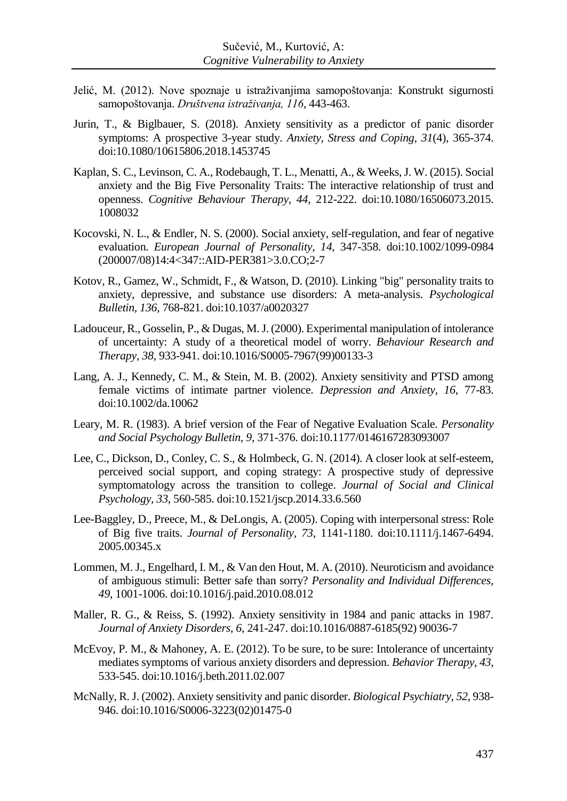- Jelić, M. (2012). Nove spoznaje u istraživanjima samopoštovanja: Konstrukt sigurnosti samopoštovanja. *Društvena istraživanja, 116*, 443-463.
- Jurin, T., & Biglbauer, S. (2018). Anxiety sensitivity as a predictor of panic disorder symptoms: A prospective 3-year study. *Anxiety, Stress and Coping, 31*(4)*,* 365-374. doi:10.1080/10615806.2018.1453745
- Kaplan, S. C., Levinson, C. A., Rodebaugh, T. L., Menatti, A., & Weeks, J. W. (2015). Social anxiety and the Big Five Personality Traits: The interactive relationship of trust and openness. *Cognitive Behaviour Therapy, 44*, 212-222. doi:10.1080/16506073.2015. 1008032
- Kocovski, N. L., & Endler, N. S. (2000). Social anxiety, self-regulation, and fear of negative evaluation. *European Journal of Personality*, *14*, 347-358. doi:10.1002/1099-0984 (200007/08)14:4<347::AID-PER381>3.0.CO;2-7
- Kotov, R., Gamez, W., Schmidt, F., & Watson, D. (2010). Linking "big" personality traits to anxiety, depressive, and substance use disorders: A meta-analysis. *Psychological Bulletin, 136*, 768-821. doi:10.1037/a0020327
- Ladouceur, R., Gosselin, P., & Dugas, M. J. (2000). Experimental manipulation of intolerance of uncertainty: A study of a theoretical model of worry. *Behaviour Research and Therapy, 38*, 933-941. doi:10.1016/S0005-7967(99)00133-3
- Lang, A. J., Kennedy, C. M., & Stein, M. B. (2002). Anxiety sensitivity and PTSD among female victims of intimate partner violence. *Depression and Anxiety, 16*, 77-83. doi:10.1002/da.10062
- Leary, M. R. (1983). A brief version of the Fear of Negative Evaluation Scale*. Personality and Social Psychology Bulletin, 9*, 371-376. doi:10.1177/0146167283093007
- Lee, C., Dickson, D., Conley, C. S., & Holmbeck, G. N. (2014). A closer look at self-esteem, perceived social support, and coping strategy: A prospective study of depressive symptomatology across the transition to college. *Journal of Social and Clinical Psychology, 33*, 560-585. doi:10.1521/jscp.2014.33.6.560
- Lee-Baggley, D., Preece, M., & DeLongis, A. (2005). Coping with interpersonal stress: Role of Big five traits. *Journal of Personality, 73*, 1141-1180. doi:10.1111/j.1467-6494. 2005.00345.x
- Lommen, M. J., Engelhard, I. M., & Van den Hout, M. A. (2010). Neuroticism and avoidance of ambiguous stimuli: Better safe than sorry? *Personality and Individual Differences, 49*, 1001-1006. doi:10.1016/j.paid.2010.08.012
- Maller, R. G., & Reiss, S. (1992). Anxiety sensitivity in 1984 and panic attacks in 1987. *Journal of Anxiety Disorders*, *6*, 241-247. doi:10.1016/0887-6185(92) 90036-7
- McEvoy, P. M., & Mahoney, A. E. (2012). To be sure, to be sure: Intolerance of uncertainty mediates symptoms of various anxiety disorders and depression. *Behavior Therapy*, *43*, 533-545. doi:10.1016/j.beth.2011.02.007
- McNally, R. J. (2002). Anxiety sensitivity and panic disorder. *Biological Psychiatry*, *52*, 938- 946. doi:10.1016/S0006-3223(02)01475-0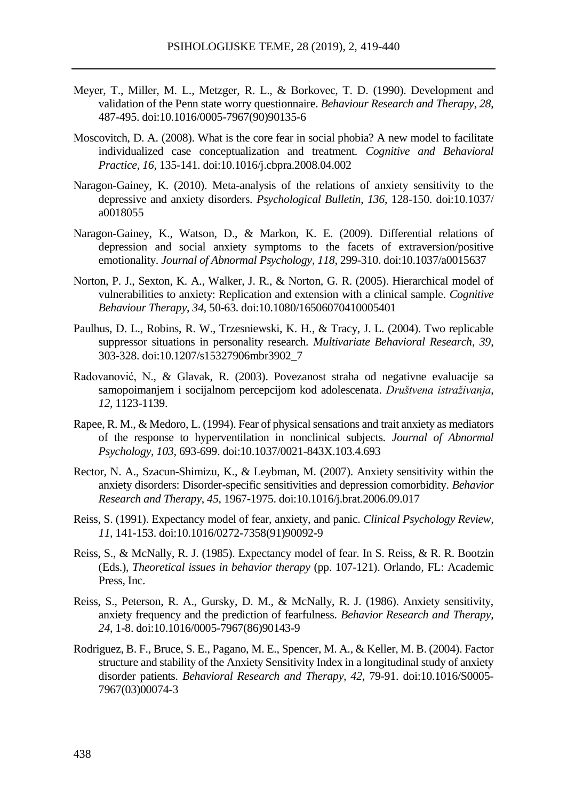- Meyer, T., Miller, M. L., Metzger, R. L., & Borkovec, T. D. (1990). Development and validation of the Penn state worry questionnaire. *Behaviour Research and Therapy*, *28*, 487-495. doi:10.1016/0005-7967(90)90135-6
- Moscovitch, D. A. (2008). What is the core fear in social phobia? A new model to facilitate individualized case conceptualization and treatment. *Cognitive and Behavioral Practice*, *16*, 135-141. doi:10.1016/j.cbpra.2008.04.002
- Naragon-Gainey, K. (2010). Meta-analysis of the relations of anxiety sensitivity to the depressive and anxiety disorders. *Psychological Bulletin*, *136*, 128-150. doi:10.1037/ a0018055
- Naragon-Gainey, K., Watson, D., & Markon, K. E. (2009). Differential relations of depression and social anxiety symptoms to the facets of extraversion/positive emotionality. *Journal of Abnormal Psychology*, *118*, 299-310. doi:10.1037/a0015637
- Norton, P. J., Sexton, K. A., Walker, J. R., & Norton, G. R. (2005). Hierarchical model of vulnerabilities to anxiety: Replication and extension with a clinical sample. *Cognitive Behaviour Therapy*, *34,* 50-63. doi:10.1080/16506070410005401
- Paulhus, D. L., Robins, R. W., Trzesniewski, K. H., & Tracy, J. L. (2004). Two replicable suppressor situations in personality research. *Multivariate Behavioral Research, 39*, 303-328. doi:10.1207/s15327906mbr3902\_7
- Radovanović, N., & Glavak, R. (2003). Povezanost straha od negativne evaluacije sa samopoimanjem i socijalnom percepcijom kod adolescenata. *Društvena istraživanja*, *12*, 1123-1139.
- Rapee, R. M., & Medoro, L. (1994). Fear of physical sensations and trait anxiety as mediators of the response to hyperventilation in nonclinical subjects. *Journal of Abnormal Psychology, 103*, 693-699. doi:10.1037/0021-843X.103.4.693
- Rector, N. A., Szacun-Shimizu, K., & Leybman, M. (2007). Anxiety sensitivity within the anxiety disorders: Disorder-specific sensitivities and depression comorbidity. *Behavior Research and Therapy*, *45*, 1967-1975. doi:10.1016/j.brat.2006.09.017
- Reiss, S. (1991). Expectancy model of fear, anxiety, and panic. *Clinical Psychology Review, 11,* 141-153. doi:10.1016/0272-7358(91)90092-9
- Reiss, S., & McNally, R. J. (1985). Expectancy model of fear. In S. Reiss, & R. R. Bootzin (Eds.), *Theoretical issues in behavior therapy* (pp. 107-121). Orlando, FL: Academic Press, Inc.
- Reiss, S., Peterson, R. A., Gursky, D. M., & McNally, R. J. (1986). Anxiety sensitivity, anxiety frequency and the prediction of fearfulness. *Behavior Research and Therapy*, *24*, 1-8. doi:10.1016/0005-7967(86)90143-9
- Rodriguez, B. F., Bruce, S. E., Pagano, M. E., Spencer, M. A., & Keller, M. B. (2004). Factor structure and stability of the Anxiety Sensitivity Index in a longitudinal study of anxiety disorder patients. *Behavioral Research and Therapy, 42*, 79-91. doi:10.1016/S0005- 7967(03)00074-3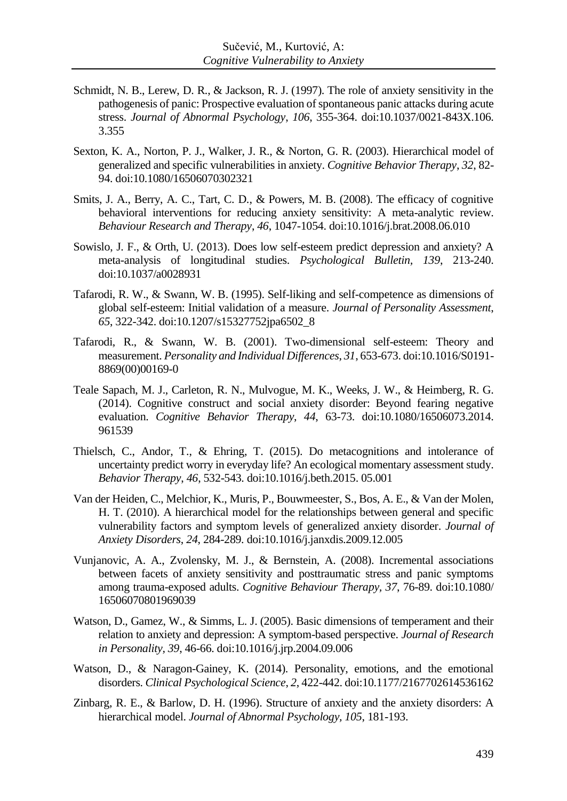- Schmidt, N. B., Lerew, D. R., & Jackson, R. J. (1997). The role of anxiety sensitivity in the pathogenesis of panic: Prospective evaluation of spontaneous panic attacks during acute stress. *Journal of Abnormal Psychology*, *106*, 355-364. doi:10.1037/0021-843X.106. 3.355
- Sexton, K. A., Norton, P. J., Walker, J. R., & Norton, G. R. (2003). Hierarchical model of generalized and specific vulnerabilities in anxiety. *Cognitive Behavior Therapy*, *32*, 82- 94. doi:10.1080/16506070302321
- Smits, J. A., Berry, A. C., Tart, C. D., & Powers, M. B. (2008). The efficacy of cognitive behavioral interventions for reducing anxiety sensitivity: A meta-analytic review. *Behaviour Research and Therapy*, *46*, 1047-1054. doi:10.1016/j.brat.2008.06.010
- Sowislo, J. F., & Orth, U. (2013). Does low self-esteem predict depression and anxiety? A meta-analysis of longitudinal studies. *Psychological Bulletin, 139*, 213-240. doi:10.1037/a0028931
- Tafarodi, R. W., & Swann, W. B. (1995). Self-liking and self-competence as dimensions of global self-esteem: Initial validation of a measure. *Journal of Personality Assessment*, *65*, 322-342. doi:10.1207/s15327752jpa6502\_8
- Tafarodi, R., & Swann, W. B. (2001). Two-dimensional self-esteem: Theory and measurement. *Personality and Individual Differences*, *31*, 653-673. doi:10.1016/S0191- 8869(00)00169-0
- Teale Sapach, M. J., Carleton, R. N., Mulvogue, M. K., Weeks, J. W., & Heimberg, R. G. (2014). Cognitive construct and social anxiety disorder: Beyond fearing negative evaluation. *Cognitive Behavior Therapy*, *44*, 63-73. doi:10.1080/16506073.2014. 961539
- Thielsch, C., Andor, T., & Ehring, T. (2015). Do metacognitions and intolerance of uncertainty predict worry in everyday life? An ecological momentary assessment study. *Behavior Therapy*, *46*, 532-543. doi:10.1016/j.beth.2015. 05.001
- Van der Heiden, C., Melchior, K., Muris, P., Bouwmeester, S., Bos, A. E., & Van der Molen, H. T. (2010). A hierarchical model for the relationships between general and specific vulnerability factors and symptom levels of generalized anxiety disorder. *Journal of Anxiety Disorders*, *24*, 284-289. doi:10.1016/j.janxdis.2009.12.005
- Vunjanovic, A. A., Zvolensky, M. J., & Bernstein, A. (2008). Incremental associations between facets of anxiety sensitivity and posttraumatic stress and panic symptoms among trauma-exposed adults. *Cognitive Behaviour Therapy, 37*, 76-89. doi:10.1080/ 16506070801969039
- Watson, D., Gamez, W., & Simms, L. J. (2005). Basic dimensions of temperament and their relation to anxiety and depression: A symptom-based perspective. *Journal of Research in Personality, 39*, 46-66. doi:10.1016/j.jrp.2004.09.006
- Watson, D., & Naragon-Gainey, K. (2014). Personality, emotions, and the emotional disorders. *Clinical Psychological Science*, *2*, 422-442. doi:10.1177/2167702614536162
- Zinbarg, R. E., & Barlow, D. H. (1996). Structure of anxiety and the anxiety disorders: A hierarchical model. *Journal of Abnormal Psychology, 105*, 181-193.